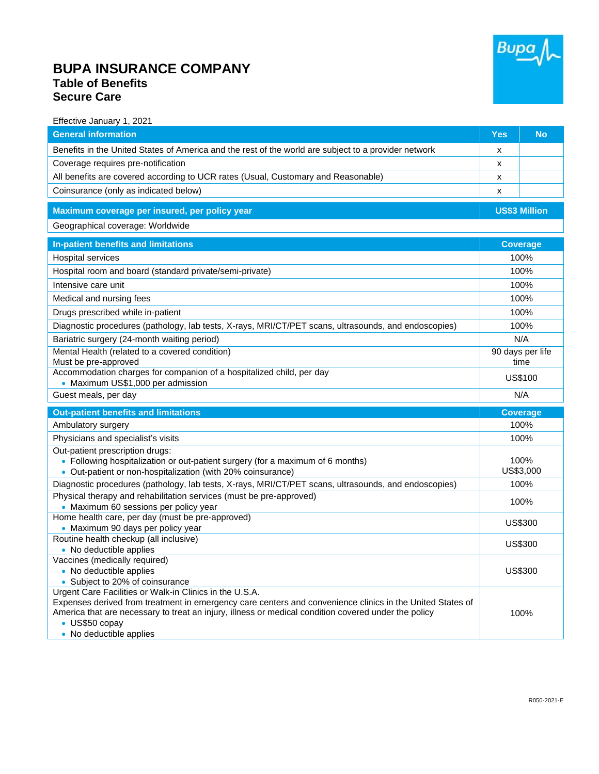

## **BUPA INSURANCE COMPANY Table of Benefits Secure Care**

| Effective January 1, 2021                                                                                                                                                                                         |                      |                 |
|-------------------------------------------------------------------------------------------------------------------------------------------------------------------------------------------------------------------|----------------------|-----------------|
| <b>General information</b>                                                                                                                                                                                        | <b>Yes</b>           | <b>No</b>       |
| Benefits in the United States of America and the rest of the world are subject to a provider network                                                                                                              | X                    |                 |
| Coverage requires pre-notification                                                                                                                                                                                | x                    |                 |
| All benefits are covered according to UCR rates (Usual, Customary and Reasonable)                                                                                                                                 | х                    |                 |
| Coinsurance (only as indicated below)                                                                                                                                                                             | X                    |                 |
| Maximum coverage per insured, per policy year                                                                                                                                                                     | <b>US\$3 Million</b> |                 |
| Geographical coverage: Worldwide                                                                                                                                                                                  |                      |                 |
| In-patient benefits and limitations                                                                                                                                                                               | <b>Coverage</b>      |                 |
| Hospital services                                                                                                                                                                                                 | 100%                 |                 |
| Hospital room and board (standard private/semi-private)                                                                                                                                                           | 100%                 |                 |
| Intensive care unit                                                                                                                                                                                               | 100%                 |                 |
| Medical and nursing fees                                                                                                                                                                                          | 100%                 |                 |
| Drugs prescribed while in-patient                                                                                                                                                                                 | 100%                 |                 |
| Diagnostic procedures (pathology, lab tests, X-rays, MRI/CT/PET scans, ultrasounds, and endoscopies)                                                                                                              | 100%                 |                 |
| Bariatric surgery (24-month waiting period)                                                                                                                                                                       | N/A                  |                 |
| Mental Health (related to a covered condition)                                                                                                                                                                    | 90 days per life     |                 |
| Must be pre-approved                                                                                                                                                                                              | time                 |                 |
| Accommodation charges for companion of a hospitalized child, per day                                                                                                                                              |                      | US\$100         |
| • Maximum US\$1,000 per admission                                                                                                                                                                                 |                      |                 |
| Guest meals, per day                                                                                                                                                                                              |                      | N/A             |
| <b>Out-patient benefits and limitations</b>                                                                                                                                                                       |                      | <b>Coverage</b> |
| Ambulatory surgery                                                                                                                                                                                                |                      | 100%            |
| Physicians and specialist's visits                                                                                                                                                                                | 100%                 |                 |
| Out-patient prescription drugs:                                                                                                                                                                                   |                      |                 |
| • Following hospitalization or out-patient surgery (for a maximum of 6 months)                                                                                                                                    |                      | 100%            |
| • Out-patient or non-hospitalization (with 20% coinsurance)                                                                                                                                                       |                      | US\$3,000       |
| Diagnostic procedures (pathology, lab tests, X-rays, MRI/CT/PET scans, ultrasounds, and endoscopies)                                                                                                              |                      | 100%            |
| Physical therapy and rehabilitation services (must be pre-approved)                                                                                                                                               |                      | 100%            |
| • Maximum 60 sessions per policy year                                                                                                                                                                             |                      |                 |
| Home health care, per day (must be pre-approved)<br>• Maximum 90 days per policy year                                                                                                                             |                      | US\$300         |
| Routine health checkup (all inclusive)                                                                                                                                                                            |                      |                 |
| • No deductible applies                                                                                                                                                                                           | <b>US\$300</b>       |                 |
| Vaccines (medically required)                                                                                                                                                                                     |                      |                 |
| • No deductible applies                                                                                                                                                                                           |                      | US\$300         |
| • Subject to 20% of coinsurance                                                                                                                                                                                   |                      |                 |
| Urgent Care Facilities or Walk-in Clinics in the U.S.A.                                                                                                                                                           |                      |                 |
| Expenses derived from treatment in emergency care centers and convenience clinics in the United States of<br>America that are necessary to treat an injury, illness or medical condition covered under the policy |                      |                 |
|                                                                                                                                                                                                                   |                      | 100%            |
|                                                                                                                                                                                                                   |                      |                 |
| • US\$50 copay<br>• No deductible applies                                                                                                                                                                         |                      |                 |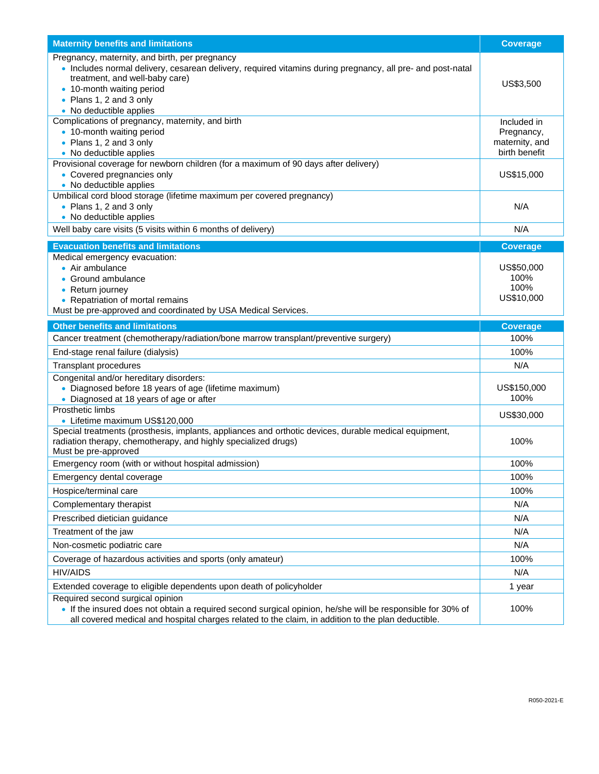| <b>Maternity benefits and limitations</b>                                                                                                                                                                                                                                         | <b>Coverage</b>                                              |
|-----------------------------------------------------------------------------------------------------------------------------------------------------------------------------------------------------------------------------------------------------------------------------------|--------------------------------------------------------------|
| Pregnancy, maternity, and birth, per pregnancy<br>. Includes normal delivery, cesarean delivery, required vitamins during pregnancy, all pre- and post-natal<br>treatment, and well-baby care)<br>• 10-month waiting period<br>• Plans 1, 2 and 3 only<br>• No deductible applies | US\$3,500                                                    |
| Complications of pregnancy, maternity, and birth<br>• 10-month waiting period<br>• Plans 1, 2 and 3 only<br>• No deductible applies                                                                                                                                               | Included in<br>Pregnancy,<br>maternity, and<br>birth benefit |
| Provisional coverage for newborn children (for a maximum of 90 days after delivery)<br>• Covered pregnancies only<br>• No deductible applies                                                                                                                                      | US\$15,000                                                   |
| Umbilical cord blood storage (lifetime maximum per covered pregnancy)<br>• Plans 1, 2 and 3 only<br>• No deductible applies                                                                                                                                                       | N/A                                                          |
| Well baby care visits (5 visits within 6 months of delivery)                                                                                                                                                                                                                      | N/A                                                          |
| <b>Evacuation benefits and limitations</b>                                                                                                                                                                                                                                        | <b>Coverage</b>                                              |
| Medical emergency evacuation:<br>• Air ambulance<br>• Ground ambulance<br>• Return journey<br>• Repatriation of mortal remains<br>Must be pre-approved and coordinated by USA Medical Services.                                                                                   | US\$50,000<br>100%<br>100%<br>US\$10,000                     |
| <b>Other benefits and limitations</b>                                                                                                                                                                                                                                             | <b>Coverage</b>                                              |
| Cancer treatment (chemotherapy/radiation/bone marrow transplant/preventive surgery)                                                                                                                                                                                               | 100%                                                         |
| End-stage renal failure (dialysis)                                                                                                                                                                                                                                                | 100%                                                         |
| Transplant procedures                                                                                                                                                                                                                                                             | N/A                                                          |
| Congenital and/or hereditary disorders:<br>• Diagnosed before 18 years of age (lifetime maximum)<br>• Diagnosed at 18 years of age or after                                                                                                                                       | US\$150,000<br>100%                                          |
| Prosthetic limbs<br>• Lifetime maximum US\$120,000                                                                                                                                                                                                                                | US\$30,000                                                   |
| Special treatments (prosthesis, implants, appliances and orthotic devices, durable medical equipment,<br>radiation therapy, chemotherapy, and highly specialized drugs)<br>Must be pre-approved                                                                                   | 100%                                                         |
| Emergency room (with or without hospital admission)                                                                                                                                                                                                                               | 100%                                                         |
| Emergency dental coverage                                                                                                                                                                                                                                                         | 100%                                                         |
| Hospice/terminal care                                                                                                                                                                                                                                                             | 100%                                                         |
| Complementary therapist                                                                                                                                                                                                                                                           | N/A                                                          |
| Prescribed dietician guidance                                                                                                                                                                                                                                                     | N/A                                                          |
| Treatment of the jaw                                                                                                                                                                                                                                                              | N/A                                                          |
| Non-cosmetic podiatric care                                                                                                                                                                                                                                                       | N/A                                                          |
| Coverage of hazardous activities and sports (only amateur)                                                                                                                                                                                                                        | 100%                                                         |
| <b>HIV/AIDS</b>                                                                                                                                                                                                                                                                   | N/A                                                          |
| Extended coverage to eligible dependents upon death of policyholder                                                                                                                                                                                                               | 1 year                                                       |
| Required second surgical opinion<br>. If the insured does not obtain a required second surgical opinion, he/she will be responsible for 30% of<br>all covered medical and hospital charges related to the claim, in addition to the plan deductible.                              | 100%                                                         |